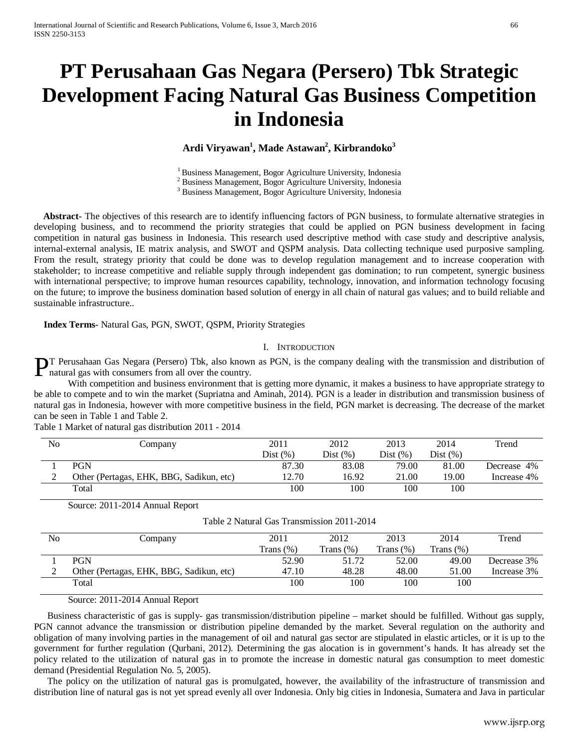# **PT Perusahaan Gas Negara (Persero) Tbk Strategic Development Facing Natural Gas Business Competition in Indonesia**

### $\mathbf{A}$ rdi Viryawan<sup>1</sup>, Made Astawan<sup>2</sup>, Kirbrandoko $^3$

<sup>1</sup> Business Management, Bogor Agriculture University, Indonesia  $^2$  Business Management, Bogor Agriculture University, Indonesia  $^3$  Business Management, Bogor Agriculture University, Indonesia

 **Abstract-** The objectives of this research are to identify influencing factors of PGN business, to formulate alternative strategies in developing business, and to recommend the priority strategies that could be applied on PGN business development in facing competition in natural gas business in Indonesia. This research used descriptive method with case study and descriptive analysis, internal-external analysis, IE matrix analysis, and SWOT and QSPM analysis. Data collecting technique used purposive sampling. From the result, strategy priority that could be done was to develop regulation management and to increase cooperation with stakeholder; to increase competitive and reliable supply through independent gas domination; to run competent, synergic business with international perspective; to improve human resources capability, technology, innovation, and information technology focusing on the future; to improve the business domination based solution of energy in all chain of natural gas values; and to build reliable and sustainable infrastructure..

#### **Index Terms-** Natural Gas, PGN, SWOT, QSPM, Priority Strategies

#### I. INTRODUCTION

**PT** Perusahaan Gas Negara (Persero) Tbk, also known as PGN, is the company dealing with the transmission and distribution of natural gas with consumers from all over the country. natural gas with consumers from all over the country.

With competition and business environment that is getting more dynamic, it makes a business to have appropriate strategy to be able to compete and to win the market (Supriatna and Aminah, 2014). PGN is a leader in distribution and transmission business of natural gas in Indonesia, however with more competitive business in the field, PGN market is decreasing. The decrease of the market can be seen in Table 1 and Table 2.

Table 1 Market of natural gas distribution 2011 - 2014

| N <sub>0</sub> | Company                                  | 2011        | 2012    | 2013     | 2014        | Trend       |
|----------------|------------------------------------------|-------------|---------|----------|-------------|-------------|
|                |                                          | Dist $(\%)$ | Dist(%) | Dist (%) | Dist $(\%)$ |             |
|                | <b>PGN</b>                               | 87.30       | 83.08   | 79.00    | 81.00       | Decrease 4% |
| ∸              | Other (Pertagas, EHK, BBG, Sadikun, etc) | 12.70       | 16.92   | 21.00    | 19.00       | Increase 4% |
|                | Total                                    | 100         | 100     | 100      | 100         |             |

Source: 2011-2014 Annual Report

Table 2 Natural Gas Transmission 2011-2014

| No | Company                                  | 2011      | 2012         | 2013         | 2014      | Trend       |
|----|------------------------------------------|-----------|--------------|--------------|-----------|-------------|
|    |                                          | Trans (%) | Trans $(\%)$ | Trans $(\%)$ | Trans (%) |             |
|    | <b>PGN</b>                               | 52.90     | 51.72        | 52.00        | 49.00     | Decrease 3% |
|    | Other (Pertagas, EHK, BBG, Sadikun, etc) | 47.10     | 48.28        | 48.00        | 51.00     | Increase 3% |
|    | Total                                    | 100       | 100          | 100          | 100       |             |

Source: 2011-2014 Annual Report

Business characteristic of gas is supply- gas transmission/distribution pipeline – market should be fulfilled. Without gas supply, PGN cannot advance the transmission or distribution pipeline demanded by the market. Several regulation on the authority and obligation of many involving parties in the management of oil and natural gas sector are stipulated in elastic articles, or it is up to the government for further regulation (Qurbani, 2012). Determining the gas alocation is in government's hands. It has already set the policy related to the utilization of natural gas in to promote the increase in domestic natural gas consumption to meet domestic demand (Presidential Regulation No. 5, 2005).

The policy on the utilization of natural gas is promulgated, however, the availability of the infrastructure of transmission and distribution line of natural gas is not yet spread evenly all over Indonesia. Only big cities in Indonesia, Sumatera and Java in particular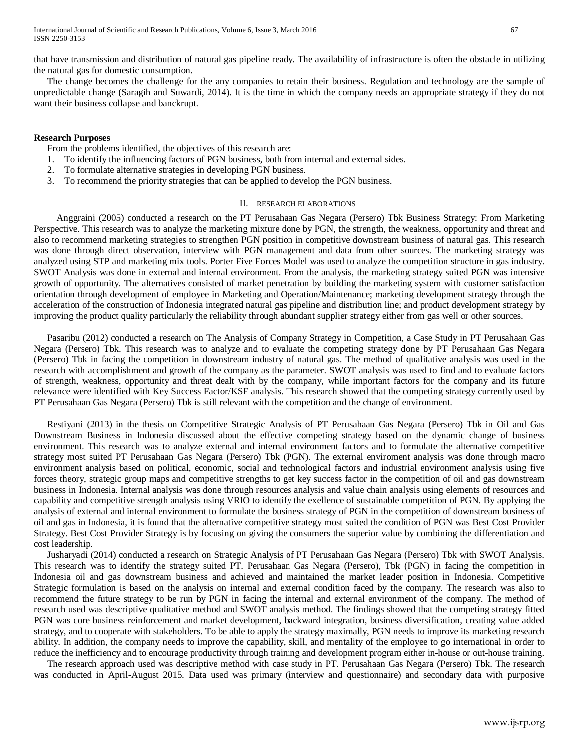that have transmission and distribution of natural gas pipeline ready. The availability of infrastructure is often the obstacle in utilizing the natural gas for domestic consumption.

The change becomes the challenge for the any companies to retain their business. Regulation and technology are the sample of unpredictable change (Saragih and Suwardi, 2014). It is the time in which the company needs an appropriate strategy if they do not want their business collapse and banckrupt.

#### **Research Purposes**

From the problems identified, the objectives of this research are:

- 1. To identify the influencing factors of PGN business, both from internal and external sides.
- 2. To formulate alternative strategies in developing PGN business.
- 3. To recommend the priority strategies that can be applied to develop the PGN business.

#### II. RESEARCH ELABORATIONS

 Anggraini (2005) conducted a research on the PT Perusahaan Gas Negara (Persero) Tbk Business Strategy: From Marketing Perspective. This research was to analyze the marketing mixture done by PGN, the strength, the weakness, opportunity and threat and also to recommend marketing strategies to strengthen PGN position in competitive downstream business of natural gas. This research was done through direct observation, interview with PGN management and data from other sources. The marketing strategy was analyzed using STP and marketing mix tools. Porter Five Forces Model was used to analyze the competition structure in gas industry. SWOT Analysis was done in external and internal environment. From the analysis, the marketing strategy suited PGN was intensive growth of opportunity. The alternatives consisted of market penetration by building the marketing system with customer satisfaction orientation through development of employee in Marketing and Operation/Maintenance; marketing development strategy through the acceleration of the construction of Indonesia integrated natural gas pipeline and distribution line; and product development strategy by improving the product quality particularly the reliability through abundant supplier strategy either from gas well or other sources.

Pasaribu (2012) conducted a research on The Analysis of Company Strategy in Competition, a Case Study in PT Perusahaan Gas Negara (Persero) Tbk. This research was to analyze and to evaluate the competing strategy done by PT Perusahaan Gas Negara (Persero) Tbk in facing the competition in downstream industry of natural gas. The method of qualitative analysis was used in the research with accomplishment and growth of the company as the parameter. SWOT analysis was used to find and to evaluate factors of strength, weakness, opportunity and threat dealt with by the company, while important factors for the company and its future relevance were identified with Key Success Factor/KSF analysis. This research showed that the competing strategy currently used by PT Perusahaan Gas Negara (Persero) Tbk is still relevant with the competition and the change of environment.

Restiyani (2013) in the thesis on Competitive Strategic Analysis of PT Perusahaan Gas Negara (Persero) Tbk in Oil and Gas Downstream Business in Indonesia discussed about the effective competing strategy based on the dynamic change of business environment. This research was to analyze external and internal environment factors and to formulate the alternative competitive strategy most suited PT Perusahaan Gas Negara (Persero) Tbk (PGN). The external enviroment analysis was done through macro environment analysis based on political, economic, social and technological factors and industrial environment analysis using five forces theory, strategic group maps and competitive strengths to get key success factor in the competition of oil and gas downstream business in Indonesia. Internal analysis was done through resources analysis and value chain analysis using elements of resources and capability and competitive strength analysis using VRIO to identify the exellence of sustainable competition of PGN. By applying the analysis of external and internal environment to formulate the business strategy of PGN in the competition of downstream business of oil and gas in Indonesia, it is found that the alternative competitive strategy most suited the condition of PGN was Best Cost Provider Strategy. Best Cost Provider Strategy is by focusing on giving the consumers the superior value by combining the differentiation and cost leadership.

Jusharyadi (2014) conducted a research on Strategic Analysis of PT Perusahaan Gas Negara (Persero) Tbk with SWOT Analysis. This research was to identify the strategy suited PT. Perusahaan Gas Negara (Persero), Tbk (PGN) in facing the competition in Indonesia oil and gas downstream business and achieved and maintained the market leader position in Indonesia. Competitive Strategic formulation is based on the analysis on internal and external condition faced by the company. The research was also to recommend the future strategy to be run by PGN in facing the internal and external environment of the company. The method of research used was descriptive qualitative method and SWOT analysis method. The findings showed that the competing strategy fitted PGN was core business reinforcement and market development, backward integration, business diversification, creating value added strategy, and to cooperate with stakeholders. To be able to apply the strategy maximally, PGN needs to improve its marketing research ability. In addition, the company needs to improve the capability, skill, and mentality of the employee to go international in order to reduce the inefficiency and to encourage productivity through training and development program either in-house or out-house training.

The research approach used was descriptive method with case study in PT. Perusahaan Gas Negara (Persero) Tbk. The research was conducted in April-August 2015. Data used was primary (interview and questionnaire) and secondary data with purposive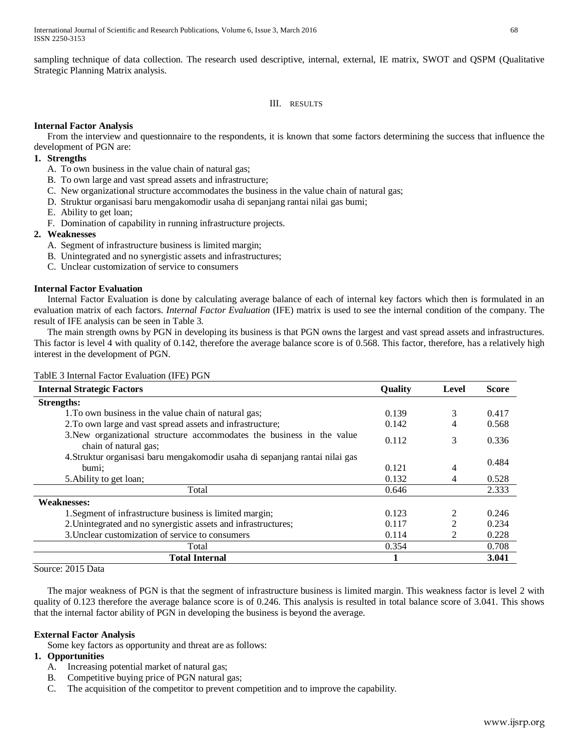sampling technique of data collection. The research used descriptive, internal, external, IE matrix, SWOT and QSPM (Qualitative Strategic Planning Matrix analysis.

#### III. RESULTS

#### **Internal Factor Analysis**

From the interview and questionnaire to the respondents, it is known that some factors determining the success that influence the development of PGN are:

#### **1. Strengths**

- A. To own business in the value chain of natural gas;
- B. To own large and vast spread assets and infrastructure;
- C. New organizational structure accommodates the business in the value chain of natural gas;
- D. Struktur organisasi baru mengakomodir usaha di sepanjang rantai nilai gas bumi;
- E. Ability to get loan;
- F. Domination of capability in running infrastructure projects.

#### **2. Weaknesses**

- A. Segment of infrastructure business is limited margin;
- B. Unintegrated and no synergistic assets and infrastructures;
- C. Unclear customization of service to consumers

#### **Internal Factor Evaluation**

Internal Factor Evaluation is done by calculating average balance of each of internal key factors which then is formulated in an evaluation matrix of each factors. *Internal Factor Evaluation* (IFE) matrix is used to see the internal condition of the company. The result of IFE analysis can be seen in Table 3.

The main strength owns by PGN in developing its business is that PGN owns the largest and vast spread assets and infrastructures. This factor is level 4 with quality of 0.142, therefore the average balance score is of 0.568. This factor, therefore, has a relatively high interest in the development of PGN.

| TablE 3 Internal Factor Evaluation (IFE) PGN |  |
|----------------------------------------------|--|
|----------------------------------------------|--|

| <b>Internal Strategic Factors</b>                                                               | Quality | Level | <b>Score</b> |
|-------------------------------------------------------------------------------------------------|---------|-------|--------------|
| <b>Strengths:</b>                                                                               |         |       |              |
| 1. To own business in the value chain of natural gas;                                           | 0.139   | 3     | 0.417        |
| 2. To own large and vast spread assets and infrastructure;                                      | 0.142   | 4     | 0.568        |
| 3. New organizational structure accommodates the business in the value<br>chain of natural gas; | 0.112   | 3     | 0.336        |
| 4. Struktur organisasi baru mengakomodir usaha di sepanjang rantai nilai gas                    |         |       | 0.484        |
| bumi;                                                                                           | 0.121   | 4     |              |
| 5. Ability to get loan;                                                                         | 0.132   | 4     | 0.528        |
| Total                                                                                           | 0.646   |       | 2.333        |
| <b>Weaknesses:</b>                                                                              |         |       |              |
| 1. Segment of infrastructure business is limited margin;                                        | 0.123   |       | 0.246        |
| 2. Unintegrated and no synergistic assets and infrastructures;                                  | 0.117   | ↑     | 0.234        |
| 3. Unclear customization of service to consumers                                                | 0.114   | 2     | 0.228        |
| Total                                                                                           | 0.354   |       | 0.708        |
| <b>Total Internal</b>                                                                           |         |       | 3.041        |

Source: 2015 Data

The major weakness of PGN is that the segment of infrastructure business is limited margin. This weakness factor is level 2 with quality of 0.123 therefore the average balance score is of 0.246. This analysis is resulted in total balance score of 3.041. This shows that the internal factor ability of PGN in developing the business is beyond the average.

#### **External Factor Analysis**

Some key factors as opportunity and threat are as follows:

#### **1. Opportunities**

- A. Increasing potential market of natural gas;
- B. Competitive buying price of PGN natural gas;
- C. The acquisition of the competitor to prevent competition and to improve the capability.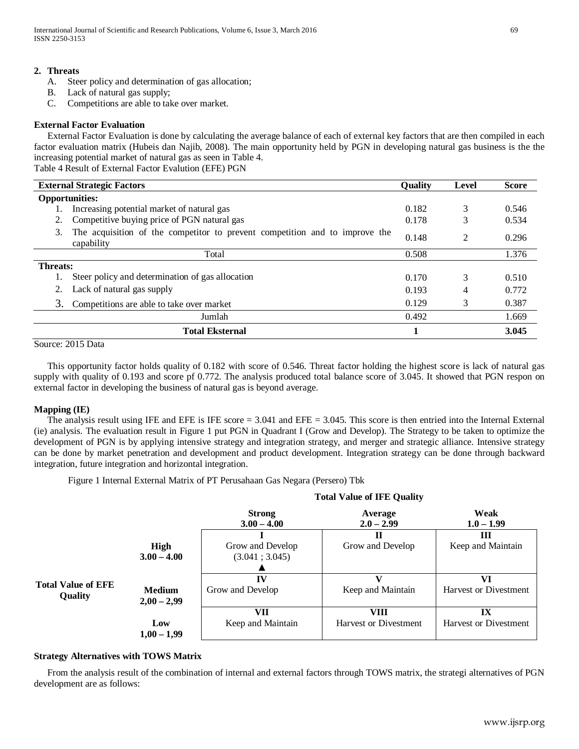#### **2. Threats**

- A. Steer policy and determination of gas allocation;
- B. Lack of natural gas supply;
- C. Competitions are able to take over market.

#### **External Factor Evaluation**

External Factor Evaluation is done by calculating the average balance of each of external key factors that are then compiled in each factor evaluation matrix (Hubeis dan Najib, 2008). The main opportunity held by PGN in developing natural gas business is the the increasing potential market of natural gas as seen in Table 4.

Table 4 Result of External Factor Evalution (EFE) PGN

| <b>External Strategic Factors</b><br><b>Quality</b> |                                                                                           | Level | <b>Score</b>   |       |
|-----------------------------------------------------|-------------------------------------------------------------------------------------------|-------|----------------|-------|
| <b>Opportunities:</b>                               |                                                                                           |       |                |       |
|                                                     | Increasing potential market of natural gas                                                | 0.182 | 3              | 0.546 |
|                                                     | Competitive buying price of PGN natural gas                                               | 0.178 |                | 0.534 |
| 3.                                                  | The acquisition of the competitor to prevent competition and to improve the<br>capability | 0.148 | $\mathfrak{D}$ | 0.296 |
|                                                     | Total                                                                                     | 0.508 |                | 1.376 |
| <b>Threats:</b>                                     |                                                                                           |       |                |       |
|                                                     | Steer policy and determination of gas allocation                                          | 0.170 | 3              | 0.510 |
|                                                     | Lack of natural gas supply                                                                | 0.193 | 4              | 0.772 |
| 3.                                                  | Competitions are able to take over market                                                 | 0.129 | 3              | 0.387 |
|                                                     | Jumlah                                                                                    | 0.492 |                | 1.669 |
|                                                     | <b>Total Eksternal</b>                                                                    |       |                | 3.045 |

#### Source: 2015 Data

This opportunity factor holds quality of 0.182 with score of 0.546. Threat factor holding the highest score is lack of natural gas supply with quality of 0.193 and score pf 0.772. The analysis produced total balance score of 3.045. It showed that PGN respon on external factor in developing the business of natural gas is beyond average.

#### **Mapping (IE)**

The analysis result using IFE and EFE is IFE score = 3.041 and EFE = 3.045. This score is then entried into the Internal External (ie) analysis. The evaluation result in Figure 1 put PGN in Quadrant I (Grow and Develop). The Strategy to be taken to optimize the development of PGN is by applying intensive strategy and integration strategy, and merger and strategic alliance. Intensive strategy can be done by market penetration and development and product development. Integration strategy can be done through backward integration, future integration and horizontal integration.

Figure 1 Internal External Matrix of PT Perusahaan Gas Negara (Persero) Tbk

|                           |               | Total value of IPE Quality     |                              |                              |  |
|---------------------------|---------------|--------------------------------|------------------------------|------------------------------|--|
|                           |               | <b>Strong</b><br>$3.00 - 4.00$ | Average<br>$2.0 - 2.99$      | Weak<br>$1.0 - 1.99$         |  |
|                           |               |                                |                              | Ш                            |  |
|                           | High          | Grow and Develop               | Grow and Develop             | Keep and Maintain            |  |
|                           | $3.00 - 4.00$ | (3.041; 3.045)                 |                              |                              |  |
|                           |               |                                |                              |                              |  |
|                           |               | IV                             | v                            | VI                           |  |
| <b>Total Value of EFE</b> | <b>Medium</b> | Grow and Develop               | Keep and Maintain            | <b>Harvest or Divestment</b> |  |
| <b>Quality</b>            | $2,00-2,99$   |                                |                              |                              |  |
|                           |               | VII                            | VIII                         | $\mathbf{I} \mathbf{X}$      |  |
|                           | Low           | Keep and Maintain              | <b>Harvest or Divestment</b> | <b>Harvest or Divestment</b> |  |
|                           | $1,00 - 1,99$ |                                |                              |                              |  |

## **Total Value of IFE Quality**

#### **Strategy Alternatives with TOWS Matrix**

From the analysis result of the combination of internal and external factors through TOWS matrix, the strategi alternatives of PGN development are as follows: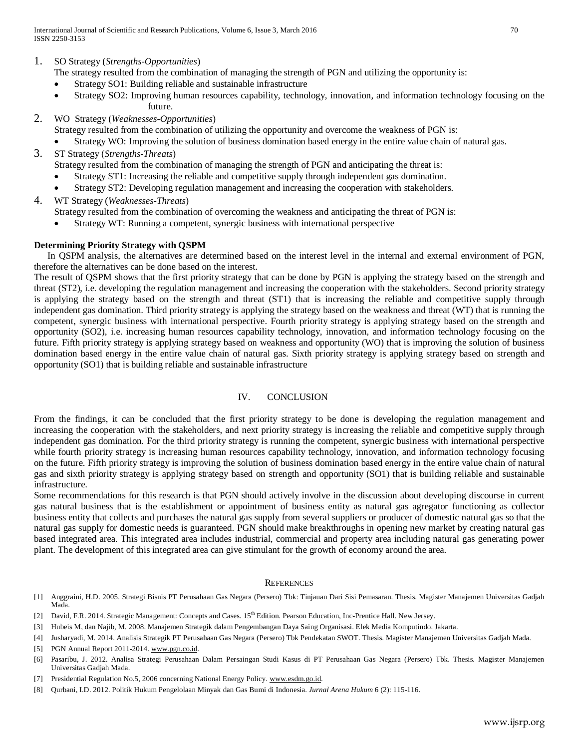- 1. SO Strategy (*Strengths-Opportunities*)
	- The strategy resulted from the combination of managing the strength of PGN and utilizing the opportunity is:
	- Strategy SO1: Building reliable and sustainable infrastructure
	- Strategy SO2: Improving human resources capability, technology, innovation, and information technology focusing on the future.
- 2. WO Strategy (*Weaknesses-Opportunities*)

Strategy resulted from the combination of utilizing the opportunity and overcome the weakness of PGN is:

- Strategy WO: Improving the solution of business domination based energy in the entire value chain of natural gas.
- 3. ST Strategy (*Strengths-Threats*) Strategy resulted from the combination of managing the strength of PGN and anticipating the threat is: • Strategy ST1: Increasing the reliable and competitive supply through independent gas domination.
	- Strategy ST2: Developing regulation management and increasing the cooperation with stakeholders.
- 4. WT Strategy (*Weaknesses-Threats*) Strategy resulted from the combination of overcoming the weakness and anticipating the threat of PGN is:
	- Strategy WT: Running a competent, synergic business with international perspective

#### **Determining Priority Strategy with QSPM**

In QSPM analysis, the alternatives are determined based on the interest level in the internal and external environment of PGN, therefore the alternatives can be done based on the interest.

The result of QSPM shows that the first priority strategy that can be done by PGN is applying the strategy based on the strength and threat (ST2), i.e. developing the regulation management and increasing the cooperation with the stakeholders. Second priority strategy is applying the strategy based on the strength and threat (ST1) that is increasing the reliable and competitive supply through independent gas domination. Third priority strategy is applying the strategy based on the weakness and threat (WT) that is running the competent, synergic business with international perspective. Fourth priority strategy is applying strategy based on the strength and opportunity (SO2), i.e. increasing human resources capability technology, innovation, and information technology focusing on the future. Fifth priority strategy is applying strategy based on weakness and opportunity (WO) that is improving the solution of business domination based energy in the entire value chain of natural gas. Sixth priority strategy is applying strategy based on strength and opportunity (SO1) that is building reliable and sustainable infrastructure

#### IV. CONCLUSION

From the findings, it can be concluded that the first priority strategy to be done is developing the regulation management and increasing the cooperation with the stakeholders, and next priority strategy is increasing the reliable and competitive supply through independent gas domination. For the third priority strategy is running the competent, synergic business with international perspective while fourth priority strategy is increasing human resources capability technology, innovation, and information technology focusing on the future. Fifth priority strategy is improving the solution of business domination based energy in the entire value chain of natural gas and sixth priority strategy is applying strategy based on strength and opportunity (SO1) that is building reliable and sustainable infrastructure.

Some recommendations for this research is that PGN should actively involve in the discussion about developing discourse in current gas natural business that is the establishment or appointment of business entity as natural gas agregator functioning as collector business entity that collects and purchases the natural gas supply from several suppliers or producer of domestic natural gas so that the natural gas supply for domestic needs is guaranteed. PGN should make breakthroughs in opening new market by creating natural gas based integrated area. This integrated area includes industrial, commercial and property area including natural gas generating power plant. The development of this integrated area can give stimulant for the growth of economy around the area.

#### **REFERENCES**

- [1] Anggraini, H.D. 2005. Strategi Bisnis PT Perusahaan Gas Negara (Persero) Tbk: Tinjauan Dari Sisi Pemasaran. Thesis. Magister Manajemen Universitas Gadjah Mada.
- [2] David, F.R. 2014. Strategic Management: Concepts and Cases. 15<sup>th</sup> Edition. Pearson Education, Inc-Prentice Hall. New Jersey.
- [3] Hubeis M, dan Najib, M. 2008. Manajemen Strategik dalam Pengembangan Daya Saing Organisasi. Elek Media Komputindo. Jakarta.
- [4] Jusharyadi, M. 2014. Analisis Strategik PT Perusahaan Gas Negara (Persero) Tbk Pendekatan SWOT. Thesis. Magister Manajemen Universitas Gadjah Mada.
- [5] PGN Annual Report 2011-2014. [www.pgn.co.id.](http://www.pgn.co.id/)
- [6] Pasaribu, J. 2012. Analisa Strategi Perusahaan Dalam Persaingan Studi Kasus di PT Perusahaan Gas Negara (Persero) Tbk. Thesis. Magister Manajemen Universitas Gadjah Mada.
- [7] Presidential Regulation No.5, 2006 concerning National Energy Policy[. www.esdm.go.id.](http://www.esdm.go.id/)
- [8] Qurbani, I.D. 2012. Politik Hukum Pengelolaan Minyak dan Gas Bumi di Indonesia. *Jurnal Arena Hukum* 6 (2): 115-116.